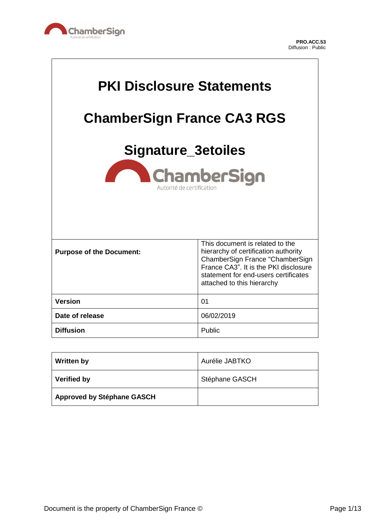

 $\overline{\mathsf{L}}$ 

| <b>PKI Disclosure Statements</b><br><b>ChamberSign France CA3 RGS</b><br><b>Signature_3etoiles</b><br><b>ChamberSign</b><br>Autorité de certification |                                                                                                                                                                                                                           |
|-------------------------------------------------------------------------------------------------------------------------------------------------------|---------------------------------------------------------------------------------------------------------------------------------------------------------------------------------------------------------------------------|
| <b>Purpose of the Document:</b>                                                                                                                       | This document is related to the<br>hierarchy of certification authority<br>ChamberSign France "ChamberSign<br>France CA3". It is the PKI disclosure<br>statement for end-users certificates<br>attached to this hierarchy |
| <b>Version</b>                                                                                                                                        | 01                                                                                                                                                                                                                        |
| Date of release                                                                                                                                       | 06/02/2019                                                                                                                                                                                                                |
| <b>Diffusion</b>                                                                                                                                      | Public                                                                                                                                                                                                                    |

| <b>Written by</b>                 | Aurélie JABTKO |
|-----------------------------------|----------------|
| <b>Verified by</b>                | Stéphane GASCH |
| <b>Approved by Stéphane GASCH</b> |                |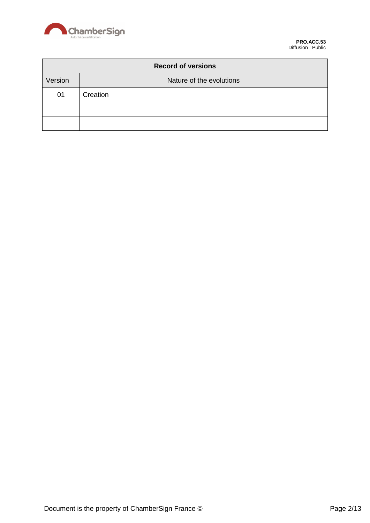

| <b>Record of versions</b> |                          |
|---------------------------|--------------------------|
| Version                   | Nature of the evolutions |
| 01                        | Creation                 |
|                           |                          |
|                           |                          |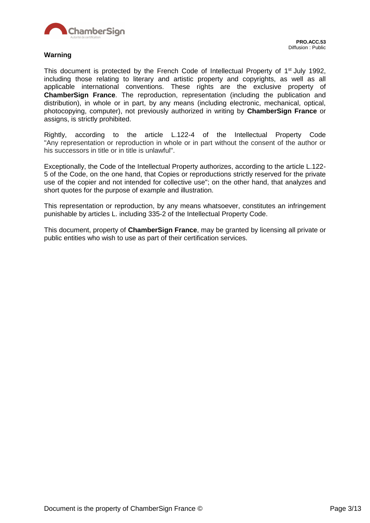

#### **Warning**

This document is protected by the French Code of Intellectual Property of 1<sup>st</sup> July 1992, including those relating to literary and artistic property and copyrights, as well as all applicable international conventions. These rights are the exclusive property of **ChamberSign France**. The reproduction, representation (including the publication and distribution), in whole or in part, by any means (including electronic, mechanical, optical, photocopying, computer), not previously authorized in writing by **ChamberSign France** or assigns, is strictly prohibited.

Rightly, according to the article L.122-4 of the Intellectual Property Code "Any representation or reproduction in whole or in part without the consent of the author or his successors in title or in title is unlawful".

Exceptionally, the Code of the Intellectual Property authorizes, according to the article L.122- 5 of the Code, on the one hand, that Copies or reproductions strictly reserved for the private use of the copier and not intended for collective use"; on the other hand, that analyzes and short quotes for the purpose of example and illustration.

This representation or reproduction, by any means whatsoever, constitutes an infringement punishable by articles L. including 335-2 of the Intellectual Property Code.

This document, property of **ChamberSign France**, may be granted by licensing all private or public entities who wish to use as part of their certification services.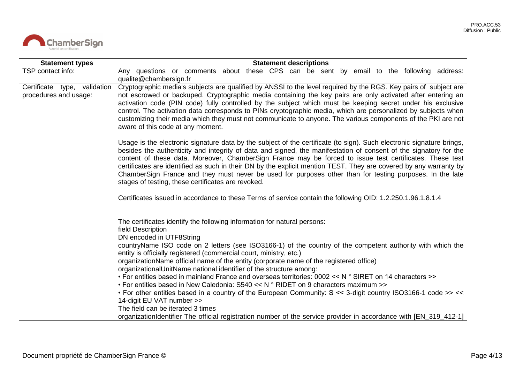

| <b>Statement types</b>                                | <b>Statement descriptions</b>                                                                                                                                                                                                                                                                                                                                                                                                                                                                                                                                                                                                                |
|-------------------------------------------------------|----------------------------------------------------------------------------------------------------------------------------------------------------------------------------------------------------------------------------------------------------------------------------------------------------------------------------------------------------------------------------------------------------------------------------------------------------------------------------------------------------------------------------------------------------------------------------------------------------------------------------------------------|
| TSP contact info:                                     | Any questions or comments about these CPS can be sent by email to the following address:<br>qualite@chambersign.fr                                                                                                                                                                                                                                                                                                                                                                                                                                                                                                                           |
| Certificate type, validation<br>procedures and usage: | Cryptographic media's subjects are qualified by ANSSI to the level required by the RGS. Key pairs of subject are<br>not escrowed or backuped. Cryptographic media containing the key pairs are only activated after entering an<br>activation code (PIN code) fully controlled by the subject which must be keeping secret under his exclusive<br>control. The activation data corresponds to PINs cryptographic media, which are personalized by subjects when<br>customizing their media which they must not communicate to anyone. The various components of the PKI are not<br>aware of this code at any moment.                         |
|                                                       | Usage is the electronic signature data by the subject of the certificate (to sign). Such electronic signature brings,<br>besides the authenticity and integrity of data and signed, the manifestation of consent of the signatory for the<br>content of these data. Moreover, ChamberSign France may be forced to issue test certificates. These test<br>certificates are identified as such in their DN by the explicit mention TEST. They are covered by any warranty by<br>ChamberSign France and they must never be used for purposes other than for testing purposes. In the late<br>stages of testing, these certificates are revoked. |
|                                                       | Certificates issued in accordance to these Terms of service contain the following OID: 1.2.250.1.96.1.8.1.4                                                                                                                                                                                                                                                                                                                                                                                                                                                                                                                                  |
|                                                       | The certificates identify the following information for natural persons:<br>field Description<br>DN encoded in UTF8String                                                                                                                                                                                                                                                                                                                                                                                                                                                                                                                    |
|                                                       | countryName ISO code on 2 letters (see ISO3166-1) of the country of the competent authority with which the<br>entity is officially registered (commercial court, ministry, etc.)<br>organizationName official name of the entity (corporate name of the registered office)<br>organizationalUnitName national identifier of the structure among:                                                                                                                                                                                                                                                                                             |
|                                                       | • For entities based in mainland France and overseas territories: 0002 << N ° SIRET on 14 characters >><br>• For entities based in New Caledonia: $S540 << N$ ° RIDET on 9 characters maximum >>                                                                                                                                                                                                                                                                                                                                                                                                                                             |
|                                                       | • For other entities based in a country of the European Community: S << 3-digit country ISO3166-1 code >> <<<br>14-digit EU VAT number >>                                                                                                                                                                                                                                                                                                                                                                                                                                                                                                    |
|                                                       | The field can be iterated 3 times<br>organizationIdentifier The official registration number of the service provider in accordance with [EN_319_412-1]                                                                                                                                                                                                                                                                                                                                                                                                                                                                                       |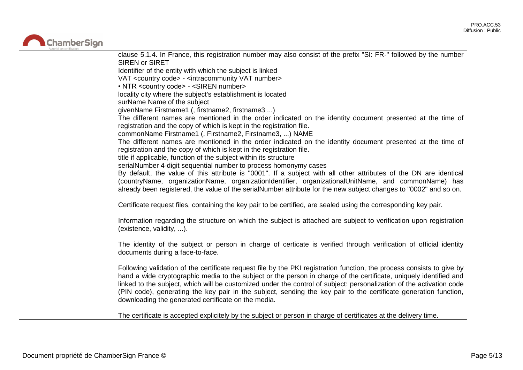

| clause 5.1.4. In France, this registration number may also consist of the prefix "SI: FR-" followed by the number      |
|------------------------------------------------------------------------------------------------------------------------|
| <b>SIREN or SIRET</b>                                                                                                  |
| Identifier of the entity with which the subject is linked                                                              |
| VAT <country code=""> - <intracommunity number="" vat=""></intracommunity></country>                                   |
| • NTR <country code=""> - <siren number=""></siren></country>                                                          |
| locality city where the subject's establishment is located                                                             |
| surName Name of the subject                                                                                            |
| givenName Firstname1 (, firstname2, firstname3 )                                                                       |
| The different names are mentioned in the order indicated on the identity document presented at the time of             |
| registration and the copy of which is kept in the registration file.                                                   |
| commonName Firstname1 (, Firstname2, Firstname3, ) NAME                                                                |
| The different names are mentioned in the order indicated on the identity document presented at the time of             |
| registration and the copy of which is kept in the registration file.                                                   |
| title if applicable, function of the subject within its structure                                                      |
| serialNumber 4-digit sequential number to process homonymy cases                                                       |
| By default, the value of this attribute is "0001". If a subject with all other attributes of the DN are identical      |
| (countryName, organizationName, organizationIdentifier, organizationalUnitName, and commonName) has                    |
| already been registered, the value of the serialNumber attribute for the new subject changes to "0002" and so on.      |
|                                                                                                                        |
| Certificate request files, containing the key pair to be certified, are sealed using the corresponding key pair.       |
| Information regarding the structure on which the subject is attached are subject to verification upon registration     |
| (existence, validity, ).                                                                                               |
|                                                                                                                        |
| The identity of the subject or person in charge of certicate is verified through verification of official identity     |
| documents during a face-to-face.                                                                                       |
|                                                                                                                        |
| Following validation of the certificate request file by the PKI registration function, the process consists to give by |
| hand a wide cryptographic media to the subject or the person in charge of the certificate, uniquely identified and     |
| linked to the subject, which will be customized under the control of subject: personalization of the activation code   |
| (PIN code), generating the key pair in the subject, sending the key pair to the certificate generation function,       |
| downloading the generated certificate on the media.                                                                    |
|                                                                                                                        |
| The certificate is accepted explicitely by the subject or person in charge of certificates at the delivery time.       |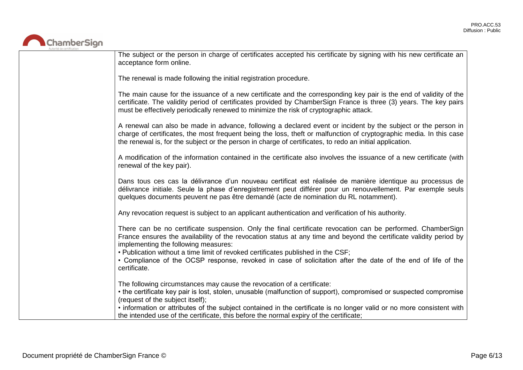

| The subject or the person in charge of certificates accepted his certificate by signing with his new certificate an<br>acceptance form online.                                                                                                                                                                                                                                                                                                                                               |
|----------------------------------------------------------------------------------------------------------------------------------------------------------------------------------------------------------------------------------------------------------------------------------------------------------------------------------------------------------------------------------------------------------------------------------------------------------------------------------------------|
| The renewal is made following the initial registration procedure.                                                                                                                                                                                                                                                                                                                                                                                                                            |
| The main cause for the issuance of a new certificate and the corresponding key pair is the end of validity of the<br>certificate. The validity period of certificates provided by ChamberSign France is three (3) years. The key pairs<br>must be effectively periodically renewed to minimize the risk of cryptographic attack.                                                                                                                                                             |
| A renewal can also be made in advance, following a declared event or incident by the subject or the person in<br>charge of certificates, the most frequent being the loss, theft or malfunction of cryptographic media. In this case<br>the renewal is, for the subject or the person in charge of certificates, to redo an initial application.                                                                                                                                             |
| A modification of the information contained in the certificate also involves the issuance of a new certificate (with<br>renewal of the key pair).                                                                                                                                                                                                                                                                                                                                            |
| Dans tous ces cas la délivrance d'un nouveau certificat est réalisée de manière identique au processus de<br>délivrance initiale. Seule la phase d'enregistrement peut différer pour un renouvellement. Par exemple seuls<br>quelques documents peuvent ne pas être demandé (acte de nomination du RL notamment).                                                                                                                                                                            |
| Any revocation request is subject to an applicant authentication and verification of his authority.                                                                                                                                                                                                                                                                                                                                                                                          |
| There can be no certificate suspension. Only the final certificate revocation can be performed. ChamberSign<br>France ensures the availability of the revocation status at any time and beyond the certificate validity period by<br>implementing the following measures:<br>. Publication without a time limit of revoked certificates published in the CSF;<br>• Compliance of the OCSP response, revoked in case of solicitation after the date of the end of life of the<br>certificate. |
| The following circumstances may cause the revocation of a certificate:<br>• the certificate key pair is lost, stolen, unusable (malfunction of support), compromised or suspected compromise<br>(request of the subject itself);<br>• information or attributes of the subject contained in the certificate is no longer valid or no more consistent with<br>the intended use of the certificate, this before the normal expiry of the certificate;                                          |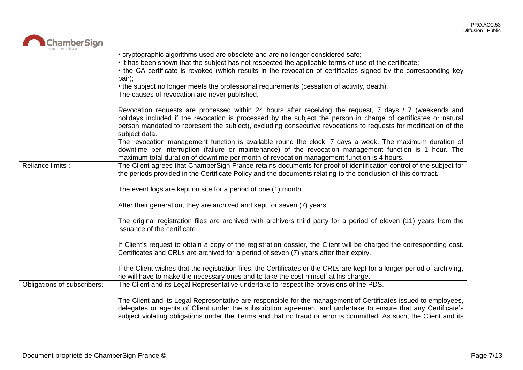

|                             | • cryptographic algorithms used are obsolete and are no longer considered safe;<br>• it has been shown that the subject has not respected the applicable terms of use of the certificate;                                                                                                                                                                       |
|-----------------------------|-----------------------------------------------------------------------------------------------------------------------------------------------------------------------------------------------------------------------------------------------------------------------------------------------------------------------------------------------------------------|
|                             | • the CA certificate is revoked (which results in the revocation of certificates signed by the corresponding key<br>pair);                                                                                                                                                                                                                                      |
|                             | • the subject no longer meets the professional requirements (cessation of activity, death).<br>The causes of revocation are never published.                                                                                                                                                                                                                    |
|                             | Revocation requests are processed within 24 hours after receiving the request, 7 days / 7 (weekends and<br>holidays included if the revocation is processed by the subject the person in charge of certificates or natural<br>person mandated to represent the subject), excluding consecutive revocations to requests for modification of the<br>subject data. |
|                             | The revocation management function is available round the clock, 7 days a week. The maximum duration of<br>downtime per interruption (failure or maintenance) of the revocation management function is 1 hour. The<br>maximum total duration of downtime per month of revocation management function is 4 hours.                                                |
| Reliance limits :           | The Client agrees that ChamberSign France retains documents for proof of identification control of the subject for<br>the periods provided in the Certificate Policy and the documents relating to the conclusion of this contract.                                                                                                                             |
|                             | The event logs are kept on site for a period of one (1) month.                                                                                                                                                                                                                                                                                                  |
|                             | After their generation, they are archived and kept for seven (7) years.                                                                                                                                                                                                                                                                                         |
|                             | The original registration files are archived with archivers third party for a period of eleven (11) years from the<br>issuance of the certificate.                                                                                                                                                                                                              |
|                             | If Client's request to obtain a copy of the registration dossier, the Client will be charged the corresponding cost.<br>Certificates and CRLs are archived for a period of seven (7) years after their expiry.                                                                                                                                                  |
|                             | If the Client wishes that the registration files, the Certificates or the CRLs are kept for a longer period of archiving,<br>he will have to make the necessary ones and to take the cost himself at his charge.                                                                                                                                                |
| Obligations of subscribers: | The Client and its Legal Representative undertake to respect the provisions of the PDS.                                                                                                                                                                                                                                                                         |
|                             | The Client and its Legal Representative are responsible for the management of Certificates issued to employees,<br>delegates or agents of Client under the subscription agreement and undertake to ensure that any Certificate's<br>subject violating obligations under the Terms and that no fraud or error is committed. As such, the Client and its          |
|                             |                                                                                                                                                                                                                                                                                                                                                                 |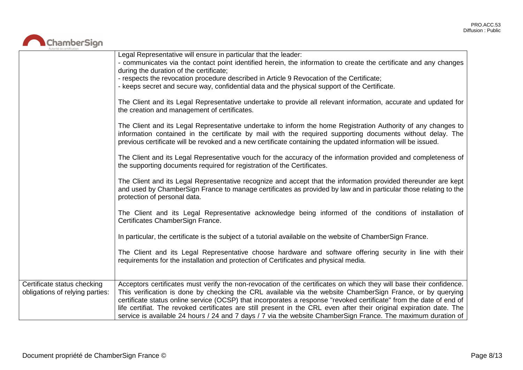

|                                                                | Legal Representative will ensure in particular that the leader:<br>- communicates via the contact point identified herein, the information to create the certificate and any changes<br>during the duration of the certificate;                                                                                                                                                                                                                                                                                                                                                                   |
|----------------------------------------------------------------|---------------------------------------------------------------------------------------------------------------------------------------------------------------------------------------------------------------------------------------------------------------------------------------------------------------------------------------------------------------------------------------------------------------------------------------------------------------------------------------------------------------------------------------------------------------------------------------------------|
|                                                                | - respects the revocation procedure described in Article 9 Revocation of the Certificate;<br>- keeps secret and secure way, confidential data and the physical support of the Certificate.                                                                                                                                                                                                                                                                                                                                                                                                        |
|                                                                | The Client and its Legal Representative undertake to provide all relevant information, accurate and updated for<br>the creation and management of certificates.                                                                                                                                                                                                                                                                                                                                                                                                                                   |
|                                                                | The Client and its Legal Representative undertake to inform the home Registration Authority of any changes to<br>information contained in the certificate by mail with the required supporting documents without delay. The<br>previous certificate will be revoked and a new certificate containing the updated information will be issued.                                                                                                                                                                                                                                                      |
|                                                                | The Client and its Legal Representative vouch for the accuracy of the information provided and completeness of<br>the supporting documents required for registration of the Certificates.                                                                                                                                                                                                                                                                                                                                                                                                         |
|                                                                | The Client and its Legal Representative recognize and accept that the information provided thereunder are kept<br>and used by ChamberSign France to manage certificates as provided by law and in particular those relating to the<br>protection of personal data.                                                                                                                                                                                                                                                                                                                                |
|                                                                | The Client and its Legal Representative acknowledge being informed of the conditions of installation of<br>Certificates ChamberSign France.                                                                                                                                                                                                                                                                                                                                                                                                                                                       |
|                                                                | In particular, the certificate is the subject of a tutorial available on the website of ChamberSign France.                                                                                                                                                                                                                                                                                                                                                                                                                                                                                       |
|                                                                | The Client and its Legal Representative choose hardware and software offering security in line with their<br>requirements for the installation and protection of Certificates and physical media.                                                                                                                                                                                                                                                                                                                                                                                                 |
| Certificate status checking<br>obligations of relying parties: | Acceptors certificates must verify the non-revocation of the certificates on which they will base their confidence.<br>This verification is done by checking the CRL available via the website ChamberSign France, or by querying<br>certificate status online service (OCSP) that incorporates a response "revoked certificate" from the date of end of<br>life certifiat. The revoked certificates are still present in the CRL even after their original expiration date. The<br>service is available 24 hours / 24 and 7 days / 7 via the website ChamberSign France. The maximum duration of |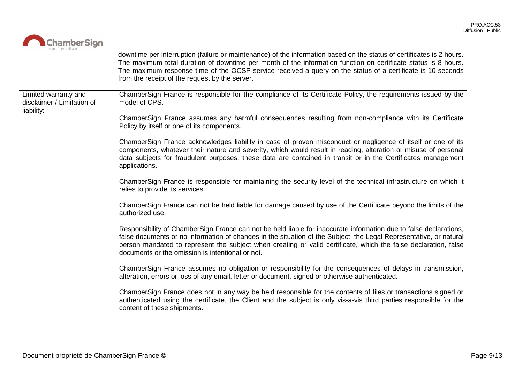

|                                                                  | downtime per interruption (failure or maintenance) of the information based on the status of certificates is 2 hours.<br>The maximum total duration of downtime per month of the information function on certificate status is 8 hours.<br>The maximum response time of the OCSP service received a query on the status of a certificate is 10 seconds<br>from the receipt of the request by the server.       |
|------------------------------------------------------------------|----------------------------------------------------------------------------------------------------------------------------------------------------------------------------------------------------------------------------------------------------------------------------------------------------------------------------------------------------------------------------------------------------------------|
| Limited warranty and<br>disclaimer / Limitation of<br>liability: | ChamberSign France is responsible for the compliance of its Certificate Policy, the requirements issued by the<br>model of CPS.                                                                                                                                                                                                                                                                                |
|                                                                  | ChamberSign France assumes any harmful consequences resulting from non-compliance with its Certificate<br>Policy by itself or one of its components.                                                                                                                                                                                                                                                           |
|                                                                  | ChamberSign France acknowledges liability in case of proven misconduct or negligence of itself or one of its<br>components, whatever their nature and severity, which would result in reading, alteration or misuse of personal<br>data subjects for fraudulent purposes, these data are contained in transit or in the Certificates management<br>applications.                                               |
|                                                                  | ChamberSign France is responsible for maintaining the security level of the technical infrastructure on which it<br>relies to provide its services.                                                                                                                                                                                                                                                            |
|                                                                  | ChamberSign France can not be held liable for damage caused by use of the Certificate beyond the limits of the<br>authorized use.                                                                                                                                                                                                                                                                              |
|                                                                  | Responsibility of ChamberSign France can not be held liable for inaccurate information due to false declarations,<br>false documents or no information of changes in the situation of the Subject, the Legal Representative, or natural<br>person mandated to represent the subject when creating or valid certificate, which the false declaration, false<br>documents or the omission is intentional or not. |
|                                                                  | ChamberSign France assumes no obligation or responsibility for the consequences of delays in transmission,<br>alteration, errors or loss of any email, letter or document, signed or otherwise authenticated.                                                                                                                                                                                                  |
|                                                                  | ChamberSign France does not in any way be held responsible for the contents of files or transactions signed or<br>authenticated using the certificate, the Client and the subject is only vis-a-vis third parties responsible for the<br>content of these shipments.                                                                                                                                           |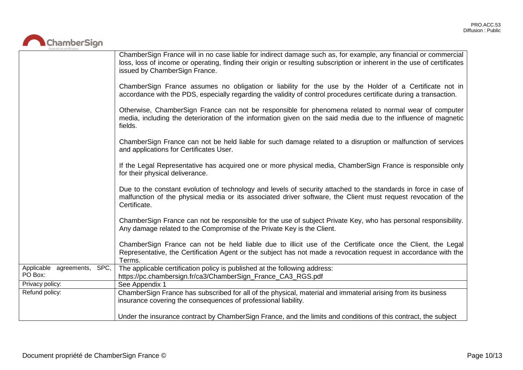

|                                        | ChamberSign France will in no case liable for indirect damage such as, for example, any financial or commercial<br>loss, loss of income or operating, finding their origin or resulting subscription or inherent in the use of certificates<br>issued by ChamberSign France. |
|----------------------------------------|------------------------------------------------------------------------------------------------------------------------------------------------------------------------------------------------------------------------------------------------------------------------------|
|                                        | ChamberSign France assumes no obligation or liability for the use by the Holder of a Certificate not in<br>accordance with the PDS, especially regarding the validity of control procedures certificate during a transaction.                                                |
|                                        | Otherwise, ChamberSign France can not be responsible for phenomena related to normal wear of computer<br>media, including the deterioration of the information given on the said media due to the influence of magnetic<br>fields.                                           |
|                                        | ChamberSign France can not be held liable for such damage related to a disruption or malfunction of services<br>and applications for Certificates User.                                                                                                                      |
|                                        | If the Legal Representative has acquired one or more physical media, ChamberSign France is responsible only<br>for their physical deliverance.                                                                                                                               |
|                                        | Due to the constant evolution of technology and levels of security attached to the standards in force in case of<br>malfunction of the physical media or its associated driver software, the Client must request revocation of the<br>Certificate.                           |
|                                        | ChamberSign France can not be responsible for the use of subject Private Key, who has personal responsibility.<br>Any damage related to the Compromise of the Private Key is the Client.                                                                                     |
|                                        | ChamberSign France can not be held liable due to illicit use of the Certificate once the Client, the Legal<br>Representative, the Certification Agent or the subject has not made a revocation request in accordance with the<br>Terms.                                      |
| Applicable agreements, SPC,<br>PO Box: | The applicable certification policy is published at the following address:<br>https://pc.chambersign.fr/ca3/ChamberSign_France_CA3_RGS.pdf                                                                                                                                   |
| Privacy policy:                        | See Appendix 1                                                                                                                                                                                                                                                               |
| Refund policy:                         | ChamberSign France has subscribed for all of the physical, material and immaterial arising from its business<br>insurance covering the consequences of professional liability.                                                                                               |
|                                        | Under the insurance contract by ChamberSign France, and the limits and conditions of this contract, the subject                                                                                                                                                              |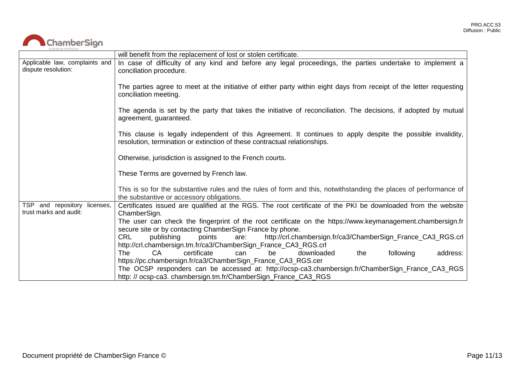

|                                                           | will benefit from the replacement of lost or stolen certificate.                                                                                                                          |
|-----------------------------------------------------------|-------------------------------------------------------------------------------------------------------------------------------------------------------------------------------------------|
| Applicable law, complaints and<br>dispute resolution:     | In case of difficulty of any kind and before any legal proceedings, the parties undertake to implement a<br>conciliation procedure.                                                       |
|                                                           | The parties agree to meet at the initiative of either party within eight days from receipt of the letter requesting<br>conciliation meeting.                                              |
|                                                           | The agenda is set by the party that takes the initiative of reconciliation. The decisions, if adopted by mutual<br>agreement, guaranteed.                                                 |
|                                                           | This clause is legally independent of this Agreement. It continues to apply despite the possible invalidity,<br>resolution, termination or extinction of these contractual relationships. |
|                                                           | Otherwise, jurisdiction is assigned to the French courts.                                                                                                                                 |
|                                                           | These Terms are governed by French law.                                                                                                                                                   |
|                                                           | This is so for the substantive rules and the rules of form and this, notwithstanding the places of performance of<br>the substantive or accessory obligations.                            |
| TSP and repository<br>licenses,<br>trust marks and audit: | Certificates issued are qualified at the RGS. The root certificate of the PKI be downloaded from the website<br>ChamberSign.                                                              |
|                                                           | The user can check the fingerprint of the root certificate on the https://www.keymanagement.chambersign.fr                                                                                |
|                                                           | secure site or by contacting ChamberSign France by phone.<br><b>CRL</b><br>http://crl.chambersign.fr/ca3/ChamberSign_France_CA3_RGS.crl<br>publishing<br>points                           |
|                                                           | are:<br>http://crl.chambersign.tm.fr/ca3/ChamberSign_France_CA3_RGS.crl                                                                                                                   |
|                                                           | CA<br>certificate<br>following<br>address:<br>The<br>downloaded<br>the<br>can<br>be                                                                                                       |
|                                                           | https://pc.chambersign.fr/ca3/ChamberSign_France_CA3_RGS.cer                                                                                                                              |
|                                                           | The OCSP responders can be accessed at: http://ocsp-ca3.chambersign.fr/ChamberSign_France_CA3_RGS<br>http://ocsp-ca3.chambersign.tm.fr/ChamberSign_France_CA3_RGS                         |
|                                                           |                                                                                                                                                                                           |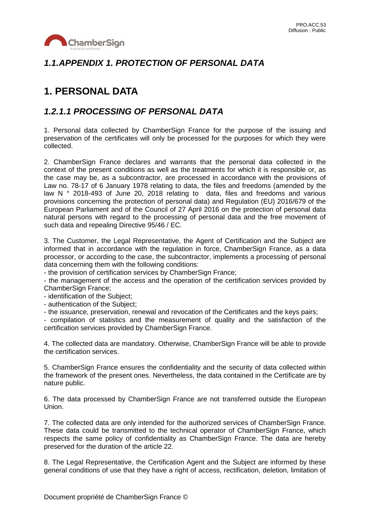

## *1.1.APPENDIX 1. PROTECTION OF PERSONAL DATA*

# **1. PERSONAL DATA**

### *1.2.1.1 PROCESSING OF PERSONAL DATA*

1. Personal data collected by ChamberSign France for the purpose of the issuing and preservation of the certificates will only be processed for the purposes for which they were collected.

2. ChamberSign France declares and warrants that the personal data collected in the context of the present conditions as well as the treatments for which it is responsible or, as the case may be, as a subcontractor, are processed in accordance with the provisions of Law no. 78-17 of 6 January 1978 relating to data, the files and freedoms (amended by the law N ° 2018-493 of June 20, 2018 relating to data, files and freedoms and various provisions concerning the protection of personal data) and Regulation (EU) 2016/679 of the European Parliament and of the Council of 27 April 2016 on the protection of personal data natural persons with regard to the processing of personal data and the free movement of such data and repealing Directive 95/46 / EC.

3. The Customer, the Legal Representative, the Agent of Certification and the Subject are informed that in accordance with the regulation in force, ChamberSign France, as a data processor, or according to the case, the subcontractor, implements a processing of personal data concerning them with the following conditions:

- the provision of certification services by ChamberSign France;

- the management of the access and the operation of the certification services provided by ChamberSign France;

- identification of the Subject;

- authentication of the Subject;

- the issuance, preservation, renewal and revocation of the Certificates and the keys pairs;

- compilation of statistics and the measurement of quality and the satisfaction of the certification services provided by ChamberSign France.

4. The collected data are mandatory. Otherwise, ChamberSign France will be able to provide the certification services.

5. ChamberSign France ensures the confidentiality and the security of data collected within the framework of the present ones. Nevertheless, the data contained in the Certificate are by nature public.

6. The data processed by ChamberSign France are not transferred outside the European Union.

7. The collected data are only intended for the authorized services of ChamberSign France. These data could be transmitted to the technical operator of ChamberSign France, which respects the same policy of confidentiality as ChamberSign France. The data are hereby preserved for the duration of the article 22.

8. The Legal Representative, the Certification Agent and the Subject are informed by these general conditions of use that they have a right of access, rectification, deletion, limitation of